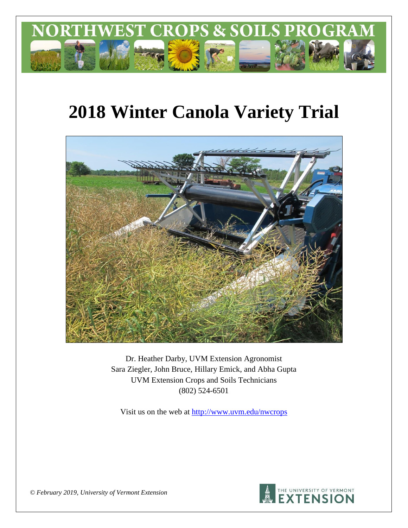

# **2018 Winter Canola Variety Trial**



Dr. Heather Darby, UVM Extension Agronomist Sara Ziegler, John Bruce, Hillary Emick, and Abha Gupta UVM Extension Crops and Soils Technicians (802) 524-6501

Visit us on the web at <http://www.uvm.edu/nwcrops>



*© February 2019, University of Vermont Extension*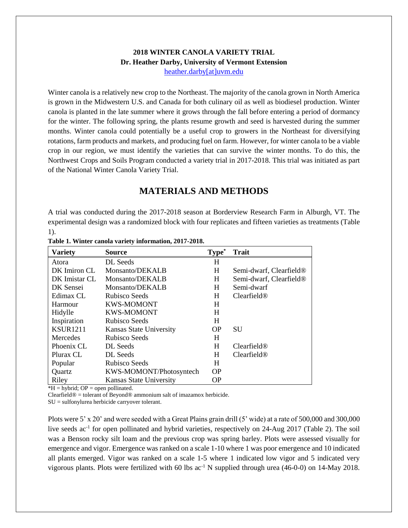#### **2018 WINTER CANOLA VARIETY TRIAL Dr. Heather Darby, University of Vermont Extension** [heather.darby\[at\]uvm.edu](mailto:heather.darby@uvm.edu?subject=2013%20Sunflower%20Reduced%20Tillage%20Trial)

Winter canola is a relatively new crop to the Northeast. The majority of the canola grown in North America is grown in the Midwestern U.S. and Canada for both culinary oil as well as biodiesel production. Winter canola is planted in the late summer where it grows through the fall before entering a period of dormancy for the winter. The following spring, the plants resume growth and seed is harvested during the summer months. Winter canola could potentially be a useful crop to growers in the Northeast for diversifying rotations, farm products and markets, and producing fuel on farm. However, for winter canola to be a viable crop in our region, we must identify the varieties that can survive the winter months. To do this, the Northwest Crops and Soils Program conducted a variety trial in 2017-2018. This trial was initiated as part of the National Winter Canola Variety Trial.

## **MATERIALS AND METHODS**

A trial was conducted during the 2017-2018 season at Borderview Research Farm in Alburgh, VT. The experimental design was a randomized block with four replicates and fifteen varieties as treatments (Table 1).

| <b>Variety</b>  | <b>Source</b>                  | Type*     | <b>Trait</b>                        |
|-----------------|--------------------------------|-----------|-------------------------------------|
| Atora           | DL Seeds                       | H         |                                     |
| DK Imiron CL    | Monsanto/DEKALB                | H         | Semi-dwarf, Clearfield <sup>®</sup> |
| DK Imistar CL   | Monsanto/DEKALB                | H         | Semi-dwarf, Clearfield®             |
| DK Sensei       | Monsanto/DEKALB                | H         | Semi-dwarf                          |
| Edimax CL       | Rubisco Seeds                  | H         | Clearfield@                         |
| Harmour         | <b>KWS-MOMONT</b>              | H         |                                     |
| Hidylle         | <b>KWS-MOMONT</b>              | H         |                                     |
| Inspiration     | Rubisco Seeds                  | H         |                                     |
| <b>KSUR1211</b> | Kansas State University        | <b>OP</b> | <b>SU</b>                           |
| <b>Mercedes</b> | Rubisco Seeds                  | H         |                                     |
| Phoenix CL      | DL Seeds                       | H         | Clearfield@                         |
| Plurax CL       | DL Seeds                       | H         | Clearfield@                         |
| Popular         | Rubisco Seeds                  | H         |                                     |
| Quartz          | KWS-MOMONT/Photosyntech        | <b>OP</b> |                                     |
| Riley           | <b>Kansas State University</b> | <b>OP</b> |                                     |

**Table 1. Winter canola variety information, 2017-2018.**

 $*H = hybrid$ ; OP = open pollinated.

Clearfield® = tolerant of Beyond® ammonium salt of imazamox herbicide.

SU = sulfonylurea herbicide carryover tolerant.

Plots were 5' x 20' and were seeded with a Great Plains grain drill (5' wide) at a rate of 500,000 and 300,000 live seeds ac<sup>-1</sup> for open pollinated and hybrid varieties, respectively on 24-Aug 2017 (Table 2). The soil was a Benson rocky silt loam and the previous crop was spring barley. Plots were assessed visually for emergence and vigor. Emergence was ranked on a scale 1-10 where 1 was poor emergence and 10 indicated all plants emerged. Vigor was ranked on a scale 1-5 where 1 indicated low vigor and 5 indicated very vigorous plants. Plots were fertilized with 60 lbs ac<sup>-1</sup> N supplied through urea (46-0-0) on 14-May 2018.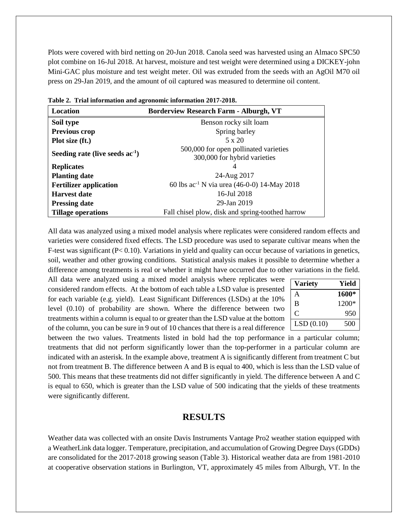Plots were covered with bird netting on 20-Jun 2018. Canola seed was harvested using an Almaco SPC50 plot combine on 16-Jul 2018. At harvest, moisture and test weight were determined using a DICKEY-john Mini-GAC plus moisture and test weight meter. Oil was extruded from the seeds with an AgOil M70 oil press on 29-Jan 2019, and the amount of oil captured was measured to determine oil content.

| Location                             | <b>Borderview Research Farm - Alburgh, VT</b>                         |  |  |  |  |  |
|--------------------------------------|-----------------------------------------------------------------------|--|--|--|--|--|
| Soil type                            | Benson rocky silt loam                                                |  |  |  |  |  |
| <b>Previous crop</b>                 | Spring barley                                                         |  |  |  |  |  |
| Plot size (ft.)                      | $5 \times 20$                                                         |  |  |  |  |  |
| Seeding rate (live seeds $ac^{-1}$ ) | 500,000 for open pollinated varieties<br>300,000 for hybrid varieties |  |  |  |  |  |
| <b>Replicates</b>                    |                                                                       |  |  |  |  |  |
| <b>Planting date</b>                 | 24-Aug 2017                                                           |  |  |  |  |  |
| <b>Fertilizer application</b>        | 60 lbs $ac^{-1}$ N via urea (46-0-0) 14-May 2018                      |  |  |  |  |  |
| <b>Harvest date</b>                  | 16-Jul 2018                                                           |  |  |  |  |  |
| <b>Pressing date</b>                 | 29-Jan 2019                                                           |  |  |  |  |  |
| <b>Tillage operations</b>            | Fall chisel plow, disk and spring-toothed harrow                      |  |  |  |  |  |

**Table 2. Trial information and agronomic information 2017-2018.**

All data was analyzed using a mixed model analysis where replicates were considered random effects and varieties were considered fixed effects. The LSD procedure was used to separate cultivar means when the F-test was significant (P< 0.10). Variations in yield and quality can occur because of variations in genetics, soil, weather and other growing conditions. Statistical analysis makes it possible to determine whether a difference among treatments is real or whether it might have occurred due to other variations in the field.

All data were analyzed using a mixed model analysis where replicates were considered random effects. At the bottom of each table a LSD value is presented for each variable (e.g. yield). Least Significant Differences (LSDs) at the 10% level (0.10) of probability are shown. Where the difference between two treatments within a column is equal to or greater than the LSD value at the bottom of the column, you can be sure in 9 out of 10 chances that there is a real difference

| <b>Variety</b> | Yield |
|----------------|-------|
|                | 1600* |
| B              | 1200* |
| 0              | 950   |
| LSD(0.10)      | 500   |

between the two values. Treatments listed in bold had the top performance in a particular column; treatments that did not perform significantly lower than the top-performer in a particular column are indicated with an asterisk. In the example above, treatment A is significantly different from treatment C but not from treatment B. The difference between A and B is equal to 400, which is less than the LSD value of 500. This means that these treatments did not differ significantly in yield. The difference between A and C is equal to 650, which is greater than the LSD value of 500 indicating that the yields of these treatments were significantly different.

#### **RESULTS**

Weather data was collected with an onsite Davis Instruments Vantage Pro2 weather station equipped with a WeatherLink data logger. Temperature, precipitation, and accumulation of Growing Degree Days (GDDs) are consolidated for the 2017-2018 growing season (Table 3). Historical weather data are from 1981-2010 at cooperative observation stations in Burlington, VT, approximately 45 miles from Alburgh, VT. In the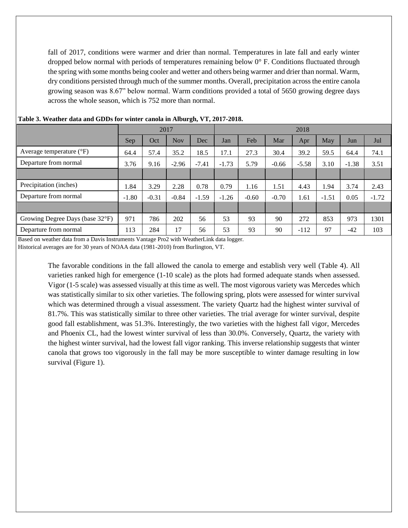fall of 2017, conditions were warmer and drier than normal. Temperatures in late fall and early winter dropped below normal with periods of temperatures remaining below 0° F. Conditions fluctuated through the spring with some months being cooler and wetter and others being warmer and drier than normal. Warm, dry conditions persisted through much of the summer months. Overall, precipitation across the entire canola growing season was 8.67" below normal. Warm conditions provided a total of 5650 growing degree days across the whole season, which is 752 more than normal.

| 2017    |         |            | 2018    |         |         |         |         |         |         |         |
|---------|---------|------------|---------|---------|---------|---------|---------|---------|---------|---------|
| Sep     | Oct     | <b>Nov</b> | Dec     | Jan     | Feb     | Mar     | Apr     | May     | Jun     | Jul     |
| 64.4    | 57.4    | 35.2       | 18.5    | 17.1    | 27.3    | 30.4    | 39.2    | 59.5    | 64.4    | 74.1    |
| 3.76    | 9.16    | $-2.96$    | $-7.41$ | $-1.73$ | 5.79    | $-0.66$ | $-5.58$ | 3.10    | $-1.38$ | 3.51    |
|         |         |            |         |         |         |         |         |         |         |         |
| 1.84    | 3.29    | 2.28       | 0.78    | 0.79    | 1.16    | 1.51    | 4.43    | 1.94    | 3.74    | 2.43    |
| $-1.80$ | $-0.31$ | $-0.84$    | $-1.59$ | $-1.26$ | $-0.60$ | $-0.70$ | 1.61    | $-1.51$ | 0.05    | $-1.72$ |
|         |         |            |         |         |         |         |         |         |         |         |
| 971     | 786     | 202        | 56      | 53      | 93      | 90      | 272     | 853     | 973     | 1301    |
| 113     | 284     | 17         | 56      | 53      | 93      | 90      | $-112$  | 97      | $-42$   | 103     |
|         |         |            |         |         |         |         |         |         |         |         |

#### **Table 3. Weather data and GDDs for winter canola in Alburgh, VT, 2017-2018.**

Based on weather data from a Davis Instruments Vantage Pro2 with WeatherLink data logger.

Historical averages are for 30 years of NOAA data (1981-2010) from Burlington, VT.

The favorable conditions in the fall allowed the canola to emerge and establish very well (Table 4). All varieties ranked high for emergence (1-10 scale) as the plots had formed adequate stands when assessed. Vigor (1-5 scale) was assessed visually at this time as well. The most vigorous variety was Mercedes which was statistically similar to six other varieties. The following spring, plots were assessed for winter survival which was determined through a visual assessment. The variety Quartz had the highest winter survival of 81.7%. This was statistically similar to three other varieties. The trial average for winter survival, despite good fall establishment, was 51.3%. Interestingly, the two varieties with the highest fall vigor, Mercedes and Phoenix CL, had the lowest winter survival of less than 30.0%. Conversely, Quartz, the variety with the highest winter survival, had the lowest fall vigor ranking. This inverse relationship suggests that winter canola that grows too vigorously in the fall may be more susceptible to winter damage resulting in low survival (Figure 1).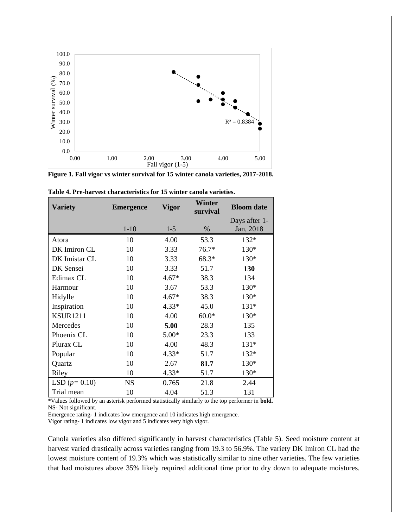

**Figure 1. Fall vigor vs winter survival for 15 winter canola varieties, 2017-2018.**

| <b>Variety</b>  | <b>Emergence</b> | Vigor   | Winter<br>survival | <b>Bloom</b> date |  |
|-----------------|------------------|---------|--------------------|-------------------|--|
|                 |                  |         |                    | Days after 1-     |  |
|                 | $1-10$           | $1-5$   | $\%$               | Jan, 2018         |  |
| Atora           | 10               | 4.00    | 53.3               | 132*              |  |
| DK Imiron CL    | 10               | 3.33    | $76.7*$            | 130*              |  |
| DK Imistar CL   | 10               | 3.33    | 68.3*              | 130*              |  |
| DK Sensei       | 10               | 3.33    | 51.7               | 130               |  |
| Edimax CL       | 10               | $4.67*$ | 38.3               | 134               |  |
| Harmour         | 10               | 3.67    | 53.3               | 130*              |  |
| Hidylle         | 10               | $4.67*$ | 38.3               | $130*$            |  |
| Inspiration     | 10               | $4.33*$ | 45.0               | $131*$            |  |
| <b>KSUR1211</b> | 10               | 4.00    | $60.0*$            | 130*              |  |
| Mercedes        | 10               | 5.00    | 28.3               | 135               |  |
| Phoenix CL      | 10               | $5.00*$ | 23.3               | 133               |  |
| Plurax CL       | 10               | 4.00    | 48.3               | $131*$            |  |
| Popular         | 10               | $4.33*$ | 51.7               | 132*              |  |
| Quartz          | 10               | 2.67    | 81.7               | 130*              |  |
| Riley           | 10               | $4.33*$ | 51.7               | 130*              |  |
| LSD $(p=0.10)$  | <b>NS</b>        | 0.765   | 21.8               | 2.44              |  |
| Trial mean      | 10               | 4.04    | 51.3               | 131               |  |

**Table 4. Pre-harvest characteristics for 15 winter canola varieties.**

\*Values followed by an asterisk performed statistically similarly to the top performer in **bold.** NS- Not significant.

Emergence rating- 1 indicates low emergence and 10 indicates high emergence.

Vigor rating- 1 indicates low vigor and 5 indicates very high vigor.

Canola varieties also differed significantly in harvest characteristics (Table 5). Seed moisture content at harvest varied drastically across varieties ranging from 19.3 to 56.9%. The variety DK Imiron CL had the lowest moisture content of 19.3% which was statistically similar to nine other varieties. The few varieties that had moistures above 35% likely required additional time prior to dry down to adequate moistures.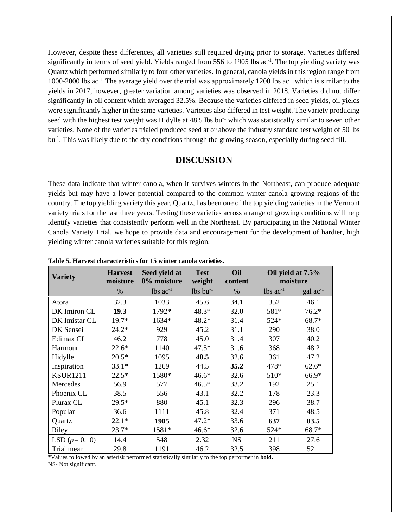However, despite these differences, all varieties still required drying prior to storage. Varieties differed significantly in terms of seed yield. Yields ranged from 556 to 1905 lbs ac<sup>-1</sup>. The top yielding variety was Quartz which performed similarly to four other varieties. In general, canola yields in this region range from 1000-2000 lbs ac-1 .The average yield over the trial was approximately 1200 lbs ac-1 which is similar to the yields in 2017, however, greater variation among varieties was observed in 2018. Varieties did not differ significantly in oil content which averaged 32.5%. Because the varieties differed in seed yields, oil yields were significantly higher in the same varieties. Varieties also differed in test weight. The variety producing seed with the highest test weight was Hidylle at 48.5 lbs bu<sup>-1</sup> which was statistically similar to seven other varieties. None of the varieties trialed produced seed at or above the industry standard test weight of 50 lbs bu<sup>-1</sup>. This was likely due to the dry conditions through the growing season, especially during seed fill.

#### **DISCUSSION**

These data indicate that winter canola, when it survives winters in the Northeast, can produce adequate yields but may have a lower potential compared to the common winter canola growing regions of the country. The top yielding variety this year, Quartz, has been one of the top yielding varieties in the Vermont variety trials for the last three years. Testing these varieties across a range of growing conditions will help identify varieties that consistently perform well in the Northeast. By participating in the National Winter Canola Variety Trial, we hope to provide data and encouragement for the development of hardier, high yielding winter canola varieties suitable for this region.

| <b>Variety</b>  | <b>Harvest</b><br>moisture | Seed yield at<br>8% moisture | <b>Test</b><br>weight  | Oil<br>content |                        | Oil yield at 7.5%<br>moisture |
|-----------------|----------------------------|------------------------------|------------------------|----------------|------------------------|-------------------------------|
|                 | %                          | $lbs$ ac <sup>-1</sup>       | $lbs$ bu <sup>-1</sup> | $\%$           | $\text{ lbs } ac^{-1}$ | $\rm gal~ac^{-1}$             |
| Atora           | 32.3                       | 1033                         | 45.6                   | 34.1           | 352                    | 46.1                          |
| DK Imiron CL    | 19.3                       | 1792*                        | 48.3*                  | 32.0           | 581*                   | $76.2*$                       |
| DK Imistar CL   | $19.7*$                    | 1634*                        | 48.2*                  | 31.4           | 524*                   | 68.7*                         |
| DK Sensei       | $24.2*$                    | 929                          | 45.2                   | 31.1           | 290                    | 38.0                          |
| Edimax CL       | 46.2                       | 778                          | 45.0                   | 31.4           | 307                    | 40.2                          |
| Harmour         | $22.6*$                    | 1140                         | $47.5*$                | 31.6           | 368                    | 48.2                          |
| Hidylle         | $20.5*$                    | 1095                         | 48.5                   | 32.6           | 361                    | 47.2                          |
| Inspiration     | $33.1*$                    | 1269                         | 44.5                   | 35.2           | 478*                   | $62.6*$                       |
| <b>KSUR1211</b> | $22.5*$                    | 1580*                        | $46.6*$                | 32.6           | 510*                   | 66.9*                         |
| Mercedes        | 56.9                       | 577                          | $46.5*$                | 33.2           | 192                    | 25.1                          |
| Phoenix CL      | 38.5                       | 556                          | 43.1                   | 32.2           | 178                    | 23.3                          |
| Plurax CL       | $29.5*$                    | 880                          | 45.1                   | 32.3           | 296                    | 38.7                          |
| Popular         | 36.6                       | 1111                         | 45.8                   | 32.4           | 371                    | 48.5                          |
| Quartz          | $22.1*$                    | 1905                         | $47.2*$                | 33.6           | 637                    | 83.5                          |
| Riley           | $23.7*$                    | 1581*                        | $46.6*$                | 32.6           | 524*                   | 68.7*                         |
| LSD $(p=0.10)$  | 14.4                       | 548                          | 2.32                   | <b>NS</b>      | 211                    | 27.6                          |
| Trial mean      | 29.8                       | 1191                         | 46.2                   | 32.5           | 398                    | 52.1                          |

**Table 5. Harvest characteristics for 15 winter canola varieties.**

\*Values followed by an asterisk performed statistically similarly to the top performer in **bold.** NS- Not significant.